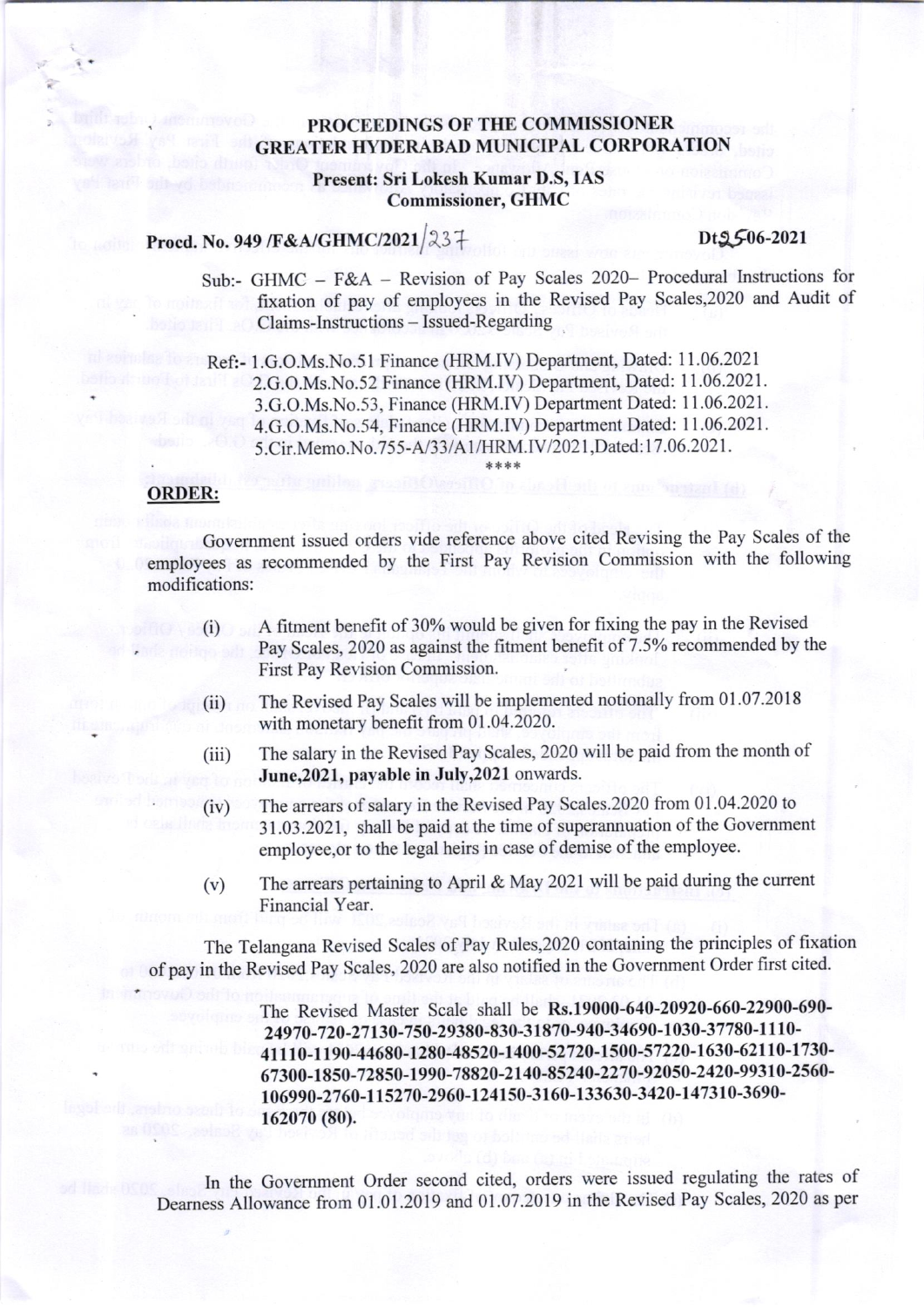## . PROCEEDINGS OF TIIE COMMISSIONER **GREATER HYDERABAD MUNICIPAL CORPORATION**

### Present: Sri Lokesh Kumar D.S, IAS Commissioner, GHMC

## Procd. No. 949 /F&A/GHMC/2021  $|23+$  Dt $5(6-2021)$

Sub:- GHMC - F&A - Revision of Pay Scales 2020- Procedural lnstructions for fixation of pay of employees in the Revised Pay Scales,2020 and Audit of Claims-Instructions - Issued-Regarding

Ref:- 1.G.O.Ms.No.51 Finance (HRM.IV) Department, Dated: 11.06.2021 2.G.O.Ms.No.52 Finance (HRM.IV) Department, Dated: 1 1.06.2021. 3.G.O.Ms.No.53, Finance (HRM.IV) Department Dated: I 1.06.2021. 4.G.O.Ms.No.54, Finance (HRM.IV) Department Dated: 11.06.2021. 5.Cir.Memo.No.755-A/33/A1/HRM.IV/2021,Dated:17.06.2021.

### ORDER:

Govemment issued orders vide reference above cited Revising the Pay Scales of the employees as recommended by the First Pay Revision Commission with the following modifications:

- $(i)$  A fitment benefit of 30% would be given for fixing the pay in the Revised Pay Scales, 2020 as against the fitment benefit of 7.5% recommended by the First Pay Revision Commission.
- (ii) The Revised Pay Scales will be implemented notionally from 01.07.2018 with monetary benefit from 01.04.2020.
- (iii) The salary in the Revised Pay Scales, 2020 will be paid from the month of June, 2021, payable in July, 2021 onwards.
- (iv) The arrears ofsalary in the Revised Pay Scales.2020 from 01.04.2020 to 31.03.2021 , shall be paid at the time of superannuation of the Govemment employee,or to the legal heirs in case of demise of the employee.
- (v) The arrears pertaining to April & May 2021 will be paid during the current Financial Year.

The Telangana Revised Scales of Pay Rules,2020 containing the principles of fixation of pay in the Revised Pay Scales, 2020 are also notified in the Government Order first cited.

> The Revised Master Scale shall be Rs.19000-640-20920-660-22900-690-24970-720-27130-750-29380-830-31870-940-34690-1030-37780-1110-<sup>41</sup>I I 0-l 190-44680-1280-48520-1400-52720-1500-57220-1630-621 l0-1730- 67300- 1850-72850-l 990-78820-2 I 40-85240-227 0 -92050-2420 -993 10-2560 l0 699 0 -27 60 -11527 0 -29 60 -12 4150-3 I 60- I 33 63 0 -3 420 -l 41 310 -3690 - 162070 (80).

In the Government Order second cited, orders were issued regulating the rates of Deamess Allowance fiom 01.01.2019 and 01.07.2019 in the Revised Pay Scales,2020 as per